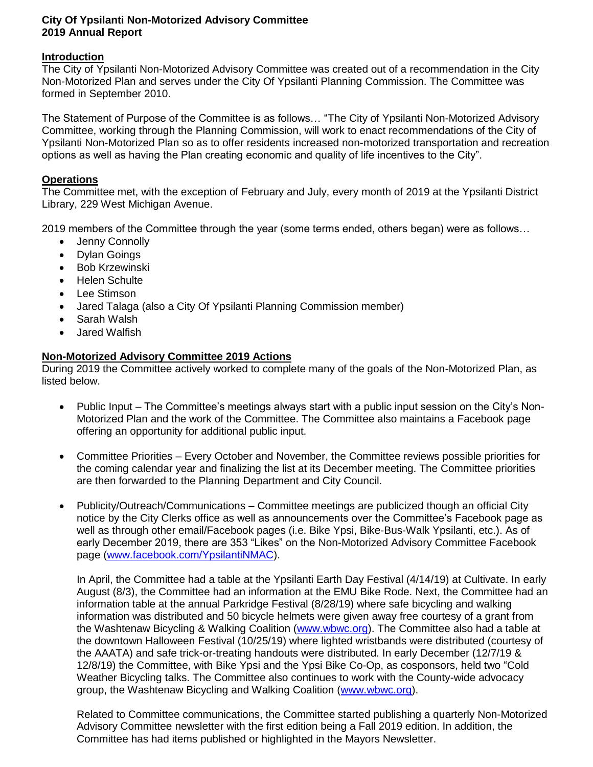## **City Of Ypsilanti Non-Motorized Advisory Committee 2019 Annual Report**

## **Introduction**

The City of Ypsilanti Non-Motorized Advisory Committee was created out of a recommendation in the City Non-Motorized Plan and serves under the City Of Ypsilanti Planning Commission. The Committee was formed in September 2010.

The Statement of Purpose of the Committee is as follows… "The City of Ypsilanti Non-Motorized Advisory Committee, working through the Planning Commission, will work to enact recommendations of the City of Ypsilanti Non-Motorized Plan so as to offer residents increased non-motorized transportation and recreation options as well as having the Plan creating economic and quality of life incentives to the City".

## **Operations**

The Committee met, with the exception of February and July, every month of 2019 at the Ypsilanti District Library, 229 West Michigan Avenue.

2019 members of the Committee through the year (some terms ended, others began) were as follows…

- Jenny Connolly
- Dylan Goings
- Bob Krzewinski
- Helen Schulte
- Lee Stimson
- Jared Talaga (also a City Of Ypsilanti Planning Commission member)
- Sarah Walsh
- Jared Walfish

## **Non-Motorized Advisory Committee 2019 Actions**

During 2019 the Committee actively worked to complete many of the goals of the Non-Motorized Plan, as listed below.

- Public Input The Committee's meetings always start with a public input session on the City's Non-Motorized Plan and the work of the Committee. The Committee also maintains a Facebook page offering an opportunity for additional public input.
- Committee Priorities Every October and November, the Committee reviews possible priorities for the coming calendar year and finalizing the list at its December meeting. The Committee priorities are then forwarded to the Planning Department and City Council.
- Publicity/Outreach/Communications Committee meetings are publicized though an official City notice by the City Clerks office as well as announcements over the Committee's Facebook page as well as through other email/Facebook pages (i.e. Bike Ypsi, Bike-Bus-Walk Ypsilanti, etc.). As of early December 2019, there are 353 "Likes" on the Non-Motorized Advisory Committee Facebook page [\(www.facebook.com/YpsilantiNMAC\)](http://www.facebook.com/YpsilantiNMAC).

In April, the Committee had a table at the Ypsilanti Earth Day Festival (4/14/19) at Cultivate. In early August (8/3), the Committee had an information at the EMU Bike Rode. Next, the Committee had an information table at the annual Parkridge Festival (8/28/19) where safe bicycling and walking information was distributed and 50 bicycle helmets were given away free courtesy of a grant from the Washtenaw Bicycling & Walking Coalition [\(www.wbwc.org\)](http://www.wbwc.org/). The Committee also had a table at the downtown Halloween Festival (10/25/19) where lighted wristbands were distributed (courtesy of the AAATA) and safe trick-or-treating handouts were distributed. In early December (12/7/19 & 12/8/19) the Committee, with Bike Ypsi and the Ypsi Bike Co-Op, as cosponsors, held two "Cold Weather Bicycling talks. The Committee also continues to work with the County-wide advocacy group, the Washtenaw Bicycling and Walking Coalition [\(www.wbwc.org\)](http://www.wbwc.org/).

Related to Committee communications, the Committee started publishing a quarterly Non-Motorized Advisory Committee newsletter with the first edition being a Fall 2019 edition. In addition, the Committee has had items published or highlighted in the Mayors Newsletter.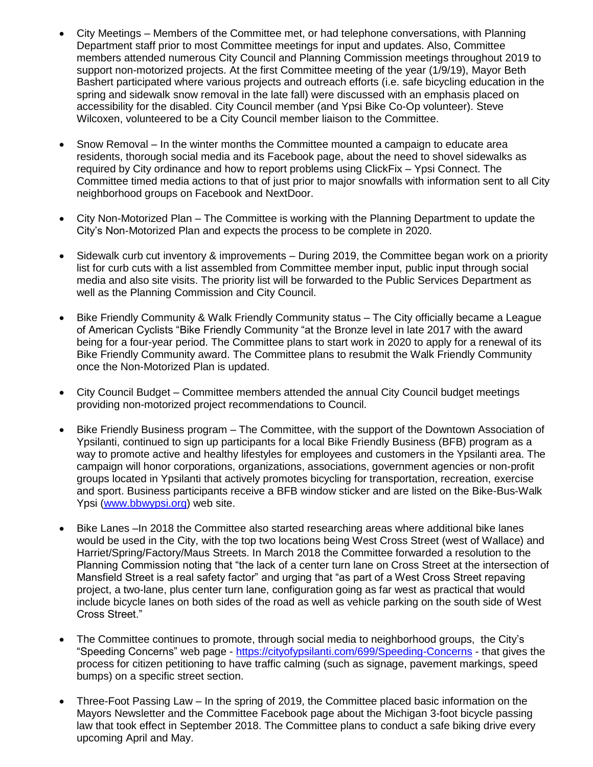- City Meetings Members of the Committee met, or had telephone conversations, with Planning Department staff prior to most Committee meetings for input and updates. Also, Committee members attended numerous City Council and Planning Commission meetings throughout 2019 to support non-motorized projects. At the first Committee meeting of the year (1/9/19), Mayor Beth Bashert participated where various projects and outreach efforts (i.e. safe bicycling education in the spring and sidewalk snow removal in the late fall) were discussed with an emphasis placed on accessibility for the disabled. City Council member (and Ypsi Bike Co-Op volunteer). Steve Wilcoxen, volunteered to be a City Council member liaison to the Committee.
- Snow Removal In the winter months the Committee mounted a campaign to educate area residents, thorough social media and its Facebook page, about the need to shovel sidewalks as required by City ordinance and how to report problems using ClickFix – Ypsi Connect. The Committee timed media actions to that of just prior to major snowfalls with information sent to all City neighborhood groups on Facebook and NextDoor.
- City Non-Motorized Plan The Committee is working with the Planning Department to update the City's Non-Motorized Plan and expects the process to be complete in 2020.
- Sidewalk curb cut inventory & improvements During 2019, the Committee began work on a priority list for curb cuts with a list assembled from Committee member input, public input through social media and also site visits. The priority list will be forwarded to the Public Services Department as well as the Planning Commission and City Council.
- Bike Friendly Community & Walk Friendly Community status The City officially became a League of American Cyclists "Bike Friendly Community "at the Bronze level in late 2017 with the award being for a four-year period. The Committee plans to start work in 2020 to apply for a renewal of its Bike Friendly Community award. The Committee plans to resubmit the Walk Friendly Community once the Non-Motorized Plan is updated.
- City Council Budget Committee members attended the annual City Council budget meetings providing non-motorized project recommendations to Council.
- Bike Friendly Business program The Committee, with the support of the Downtown Association of Ypsilanti, continued to sign up participants for a local Bike Friendly Business (BFB) program as a way to promote active and healthy lifestyles for employees and customers in the Ypsilanti area. The campaign will honor corporations, organizations, associations, government agencies or non-profit groups located in Ypsilanti that actively promotes bicycling for transportation, recreation, exercise and sport. Business participants receive a BFB window sticker and are listed on the Bike-Bus-Walk Ypsi [\(www.bbwypsi.org\)](http://www.bbwypsi.org/) web site.
- Bike Lanes –In 2018 the Committee also started researching areas where additional bike lanes would be used in the City, with the top two locations being West Cross Street (west of Wallace) and Harriet/Spring/Factory/Maus Streets. In March 2018 the Committee forwarded a resolution to the Planning Commission noting that "the lack of a center turn lane on Cross Street at the intersection of Mansfield Street is a real safety factor" and urging that "as part of a West Cross Street repaving project, a two-lane, plus center turn lane, configuration going as far west as practical that would include bicycle lanes on both sides of the road as well as vehicle parking on the south side of West Cross Street."
- The Committee continues to promote, through social media to neighborhood groups, the City's "Speeding Concerns" web page - <https://cityofypsilanti.com/699/Speeding-Concerns> - that gives the process for citizen petitioning to have traffic calming (such as signage, pavement markings, speed bumps) on a specific street section.
- Three-Foot Passing Law In the spring of 2019, the Committee placed basic information on the Mayors Newsletter and the Committee Facebook page about the Michigan 3-foot bicycle passing law that took effect in September 2018. The Committee plans to conduct a safe biking drive every upcoming April and May.